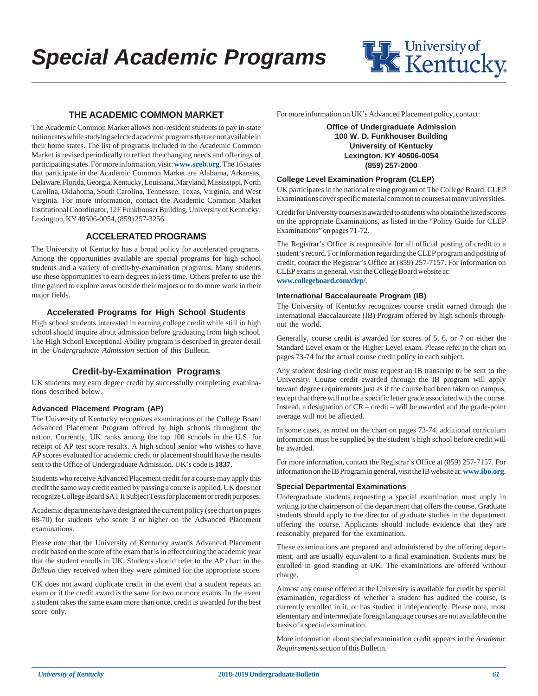

### **THE ACADEMIC COMMON MARKET**

The Academic Common Market allows non-resident students to pay in-state tuition rates while studying selected academic programs that are not available in their home states. The list of programs included in the Academic Common Market is revised periodically to reflect the changing needs and offerings of participating states. For more information, visit: **www.sreb.org**. The 16 states that participate in the Academic Common Market are Alabama, Arkansas, Delaware, Florida, Georgia, Kentucky, Louisiana, Maryland, Mississippi, North Carolina, Oklahoma, South Carolina, Tennessee, Texas, Virginia, and West Virginia. For more information, contact the Academic Common Market Institutional Coordinator, 12F Funkhouser Building, University of Kentucky, Lexington, KY 40506-0054, (859) 257-3256.

### **ACCELERATED PROGRAMS**

The University of Kentucky has a broad policy for accelerated programs. Among the opportunities available are special programs for high school students and a variety of credit-by-examination programs. Many students use these opportunities to earn degrees in less time. Others prefer to use the time gained to explore areas outside their majors or to do more work in their major fields.

#### **Accelerated Programs for High School Students**

High school students interested in earning college credit while still in high school should inquire about admission before graduating from high school. The High School Exceptional Ability program is described in greater detail in the *Undergraduate Admission* section of this Bulletin.

#### **Credit-by-Examination Programs**

UK students may earn degree credit by successfully completing examinations described below.

#### **Advanced Placement Program (AP)**

The University of Kentucky recognizes examinations of the College Board Advanced Placement Program offered by high schools throughout the nation. Currently, UK ranks among the top 100 schools in the U.S. for receipt of AP test score results. A high school senior who wishes to have AP scores evaluated for academic credit or placement should have the results sent to the Office of Undergraduate Admission. UK's code is **1837**.

Students who receive Advanced Placement credit for a course may apply this credit the same way credit earned by passing a course is applied. UK does not recognize College Board SAT II Subject Tests for placement or credit purposes.

Academic departments have designated the current policy (see chart on pages 68-70) for students who score 3 or higher on the Advanced Placement examinations.

Please note that the University of Kentucky awards Advanced Placement credit based on the score of the exam that is in effect during the academic year that the student enrolls in UK. Students should refer to the AP chart in the *Bulletin* they received when they were admitted for the appropriate score.

UK does not award duplicate credit in the event that a student repeats an exam or if the credit award is the same for two or more exams. In the event a student takes the same exam more than once, credit is awarded for the best score only.

For more information on UK's Advanced Placement policy, contact:

**Office of Undergraduate Admission 100 W. D. Funkhouser Building University of Kentucky Lexington, KY 40506-0054 (859) 257-2000**

#### **College Level Examination Program (CLEP)**

UK participates in the national testing program of The College Board. CLEP Examinations cover specific material common to courses at many universities.

Credit for University courses is awarded to students who obtain the listed scores on the appropriate Examinations, as listed in the "Policy Guide for CLEP Examinations" on pages 71-72.

The Registrar's Office is responsible for all official posting of credit to a student's record. For information regarding the CLEP program and posting of credit, contact the Registrar's Office at (859) 257-7157. For information on CLEP exams in general, visit the College Board website at: **www.collegeboard.com/clep/**.

#### **International Baccalaureate Program (IB)**

The University of Kentucky recognizes course credit earned through the International Baccalaureate (IB) Program offered by high schools throughout the world.

Generally, course credit is awarded for scores of 5, 6, or 7 on either the Standard Level exam or the Higher Level exam. Please refer to the chart on pages 73-74 for the actual course credit policy in each subject.

Any student desiring credit must request an IB transcript to be sent to the University. Course credit awarded through the IB program will apply toward degree requirements just as if the course had been taken on campus, except that there will not be a specific letter grade associated with the course. Instead, a designation of CR – credit – will be awarded and the grade-point average will not be affected.

In some cases, as noted on the chart on pages 73-74, additional curriculum information must be supplied by the student's high school before credit will be awarded.

For more information, contact the Registrar's Office at (859) 257-7157. For information on the IB Program in general, visit the IB website at: **www.ibo.org**.

#### **Special Departmental Examinations**

Undergraduate students requesting a special examination must apply in writing to the chairperson of the department that offers the course. Graduate students should apply to the director of graduate studies in the department offering the course. Applicants should include evidence that they are reasonably prepared for the examination.

These examinations are prepared and administered by the offering department, and are usually equivalent to a final examination. Students must be enrolled in good standing at UK. The examinations are offered without charge.

Almost any course offered at the University is available for credit by special examination, regardless of whether a student has audited the course, is currently enrolled in it, or has studied it independently. Please note, most elementary and intermediate foreign language courses are not available on the basis of a special examination.

More information about special examination credit appears in the *Academic Requirements* section of this Bulletin.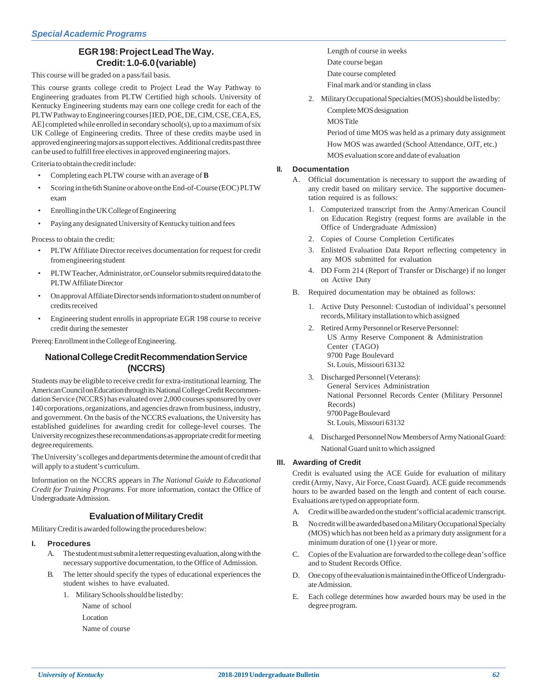## **EGR 198: Project Lead The Way. Credit: 1.0-6.0 (variable)**

This course will be graded on a pass/fail basis.

This course grants college credit to Project Lead the Way Pathway to Engineering graduates from PLTW Certified high schools. University of Kentucky Engineering students may earn one college credit for each of the PLTW Pathway to Engineering courses [IED, POE, DE, CIM, CSE, CEA, ES, AE] completed while enrolled in secondary school(s), up to a maximum of six UK College of Engineering credits. Three of these credits maybe used in approved engineering majors as support electives. Additional credits past three can be used to fulfill free electives in approved engineering majors.

Criteria to obtain the credit include:

- Completing each PLTW course with an average of **B**
- Scoring in the 6th Stanine or above on the End-of-Course (EOC) PLTW exam
- Enrolling in the UK College of Engineering
- Paying any designated University of Kentucky tuition and fees

Process to obtain the credit:

- PLTW Affiliate Director receives documentation for request for credit from engineering student
- PLTW Teacher, Administrator, or Counselor submits required data to the PLTW Affiliate Director
- On approval Affiliate Director sends information to student on number of credits received
- Engineering student enrolls in appropriate EGR 198 course to receive credit during the semester

Prereq: Enrollment in the College of Engineering.

### **National College Credit Recommendation Service (NCCRS)**

Students may be eligible to receive credit for extra-institutional learning. The American Council on Education through its National College Credit Recommendation Service (NCCRS) has evaluated over 2,000 courses sponsored by over 140 corporations, organizations, and agencies drawn from business, industry, and government. On the basis of the NCCRS evaluations, the University has established guidelines for awarding credit for college-level courses. The University recognizes these recommendations as appropriate credit for meeting degree requirements.

The University's colleges and departments determine the amount of credit that will apply to a student's curriculum.

Information on the NCCRS appears in *The National Guide to Educational Credit for Training Programs*. For more information, contact the Office of Undergraduate Admission.

### **Evaluation of Military Credit**

Military Credit is awarded following the procedures below:

#### **I. Procedures**

- A. The student must submit a letter requesting evaluation, along with the necessary supportive documentation, to the Office of Admission.
- B. The letter should specify the types of educational experiences the student wishes to have evaluated.
	- 1. Military Schools should be listed by:

Name of school Location

Name of course

- Length of course in weeks Date course began Date course completed
- Final mark and/or standing in class
- 2. Military Occupational Specialties (MOS) should be listed by: Complete MOS designation **MOS** Title

Period of time MOS was held as a primary duty assignment How MOS was awarded (School Attendance, OJT, etc.) MOS evaluation score and date of evaluation

#### **II. Documentation**

- A. Official documentation is necessary to support the awarding of any credit based on military service. The supportive documentation required is as follows:
	- 1. Computerized transcript from the Army/American Council on Education Registry (request forms are available in the Office of Undergraduate Admission)
	- 2. Copies of Course Completion Certificates
	- 3. Enlisted Evaluation Data Report reflecting competency in any MOS submitted for evaluation
	- 4. DD Form 214 (Report of Transfer or Discharge) if no longer on Active Duty
- B. Required documentation may be obtained as follows:
	- 1. Active Duty Personnel: Custodian of individual's personnel records, Military installation to which assigned
	- 2. Retired Army Personnel or Reserve Personnel: US Army Reserve Component & Administration Center (TAGO) 9700 Page Boulevard St. Louis, Missouri 63132
	- 3. Discharged Personnel (Veterans): General Services Administration National Personnel Records Center (Military Personnel Records) 9700 Page Boulevard St. Louis, Missouri 63132
	- 4. Discharged Personnel Now Members of Army National Guard: National Guard unit to which assigned

#### **III. Awarding of Credit**

Credit is evaluated using the ACE Guide for evaluation of military credit (Army, Navy, Air Force, Coast Guard). ACE guide recommends hours to be awarded based on the length and content of each course. Evaluations are typed on appropriate form.

- A. Credit will be awarded on the student's official academic transcript.
- B. No credit will be awarded based on a Military Occupational Specialty (MOS) which has not been held as a primary duty assignment for a minimum duration of one (1) year or more.
- C. Copies of the Evaluation are forwarded to the college dean's office and to Student Records Office.
- D. One copy of the evaluation is maintained in the Office of Undergraduate Admission.
- E. Each college determines how awarded hours may be used in the degree program.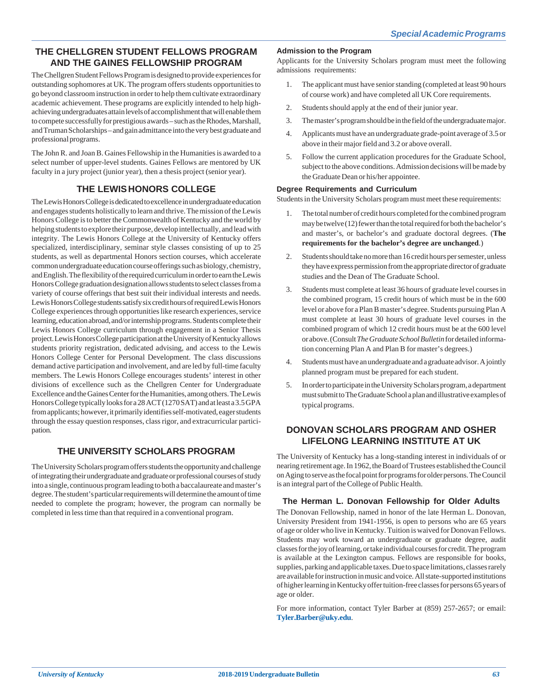## **THE CHELLGREN STUDENT FELLOWS PROGRAM AND THE GAINES FELLOWSHIP PROGRAM**

The Chellgren Student Fellows Program is designed to provide experiences for outstanding sophomores at UK. The program offers students opportunities to go beyond classroom instruction in order to help them cultivate extraordinary academic achievement. These programs are explicitly intended to help highachieving undergraduates attain levels of accomplishment that will enable them to compete successfully for prestigious awards – such as the Rhodes, Marshall, and Truman Scholarships – and gain admittance into the very best graduate and professional programs.

The John R. and Joan B. Gaines Fellowship in the Humanities is awarded to a select number of upper-level students. Gaines Fellows are mentored by UK faculty in a jury project (junior year), then a thesis project (senior year).

## **THE LEWIS HONORS COLLEGE**

The Lewis Honors College is dedicated to excellence in undergraduate education and engages students holistically to learn and thrive. The mission of the Lewis Honors College is to better the Commonwealth of Kentucky and the world by helping students to explore their purpose, develop intellectually, and lead with integrity. The Lewis Honors College at the University of Kentucky offers specialized, interdisciplinary, seminar style classes consisting of up to 25 students, as well as departmental Honors section courses, which accelerate common undergraduate education course offerings such as biology, chemistry, and English. The flexibility of the required curriculum in order to earn the Lewis Honors College graduation designation allows students to select classes from a variety of course offerings that best suit their individual interests and needs. Lewis Honors College students satisfy six credit hours of required Lewis Honors College experiences through opportunities like research experiences, service learning, education abroad, and/or internship programs. Students complete their Lewis Honors College curriculum through engagement in a Senior Thesis project. Lewis Honors College participation at the University of Kentucky allows students priority registration, dedicated advising, and access to the Lewis Honors College Center for Personal Development. The class discussions demand active participation and involvement, and are led by full-time faculty members. The Lewis Honors College encourages students' interest in other divisions of excellence such as the Chellgren Center for Undergraduate Excellence and the Gaines Center for the Humanities, among others. The Lewis Honors College typically looks for a 28 ACT (1270 SAT) and at least a 3.5 GPA from applicants; however, it primarily identifies self-motivated, eager students through the essay question responses, class rigor, and extracurricular participation.

## **THE UNIVERSITY SCHOLARS PROGRAM**

The University Scholars program offers students the opportunity and challenge of integrating their undergraduate and graduate or professional courses of study into a single, continuous program leading to both a baccalaureate and master's degree. The student's particular requirements will determine the amount of time needed to complete the program; however, the program can normally be completed in less time than that required in a conventional program.

#### **Admission to the Program**

Applicants for the University Scholars program must meet the following admissions requirements:

- 1. The applicant must have senior standing (completed at least 90 hours of course work) and have completed all UK Core requirements.
- 2. Students should apply at the end of their junior year.
- 3. The master's program should be in the field of the undergraduate major.
- 4. Applicants must have an undergraduate grade-point average of 3.5 or above in their major field and 3.2 or above overall.
- 5. Follow the current application procedures for the Graduate School, subject to the above conditions. Admission decisions will be made by the Graduate Dean or his/her appointee.

#### **Degree Requirements and Curriculum**

Students in the University Scholars program must meet these requirements:

- 1. The total number of credit hours completed for the combined program may be twelve (12) fewer than the total required for both the bachelor's and master's, or bachelor's and graduate doctoral degrees. (**The requirements for the bachelor's degree are unchanged**.)
- 2. Students should take no more than 16 credit hours per semester, unless they have express permission from the appropriate director of graduate studies and the Dean of The Graduate School.
- 3. Students must complete at least 36 hours of graduate level courses in the combined program, 15 credit hours of which must be in the 600 level or above for a Plan B master's degree. Students pursuing Plan A must complete at least 30 hours of graduate level courses in the combined program of which 12 credit hours must be at the 600 level or above. (Consult *The Graduate School Bulletin* for detailed information concerning Plan A and Plan B for master's degrees.)
- 4. Students must have an undergraduate and a graduate advisor. A jointly planned program must be prepared for each student.
- 5. In order to participate in the University Scholars program, a department must submit to The Graduate School a plan and illustrative examples of typical programs.

### **DONOVAN SCHOLARS PROGRAM AND OSHER LIFELONG LEARNING INSTITUTE AT UK**

The University of Kentucky has a long-standing interest in individuals of or nearing retirement age. In 1962, the Board of Trustees established the Council on Aging to serve as the focal point for programs for older persons. The Council is an integral part of the College of Public Health.

### **The Herman L. Donovan Fellowship for Older Adults**

The Donovan Fellowship, named in honor of the late Herman L. Donovan, University President from 1941-1956, is open to persons who are 65 years of age or older who live in Kentucky. Tuition is waived for Donovan Fellows. Students may work toward an undergraduate or graduate degree, audit classes for the joy of learning, or take individual courses for credit. The program is available at the Lexington campus. Fellows are responsible for books, supplies, parking and applicable taxes. Due to space limitations, classes rarely are available for instruction in music and voice. All state-supported institutions of higher learning in Kentucky offer tuition-free classes for persons 65 years of age or older.

For more information, contact Tyler Barber at (859) 257-2657; or email: **Tyler.Barber@uky.edu**.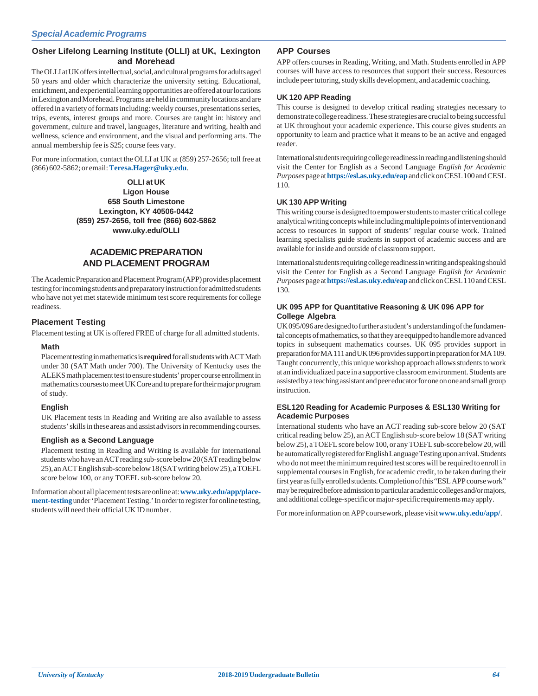#### **Osher Lifelong Learning Institute (OLLI) at UK, Lexington and Morehead**

The OLLI at UK offers intellectual, social, and cultural programs for adults aged 50 years and older which characterize the university setting. Educational, enrichment, and experiential learning opportunities are offered at our locations in Lexington and Morehead. Programs are held in community locations and are offered in a variety of formats including: weekly courses, presentations series, trips, events, interest groups and more. Courses are taught in: history and government, culture and travel, languages, literature and writing, health and wellness, science and environment, and the visual and performing arts. The annual membership fee is \$25; course fees vary.

For more information, contact the OLLI at UK at (859) 257-2656; toll free at (866) 602-5862; or email: **Teresa.Hager@uky.edu**.

> **OLLI at UK Ligon House 658 South Limestone Lexington, KY 40506-0442 (859) 257-2656, toll free (866) 602-5862 www.uky.edu/OLLI**

## **ACADEMIC PREPARATION AND PLACEMENT PROGRAM**

The Academic Preparation and Placement Program (APP) provides placement testing for incoming students and preparatory instruction for admitted students who have not yet met statewide minimum test score requirements for college readiness.

### **Placement Testing**

Placement testing at UK is offered FREE of charge for all admitted students.

#### **Math**

Placement testing in mathematics is **required** for all students with ACT Math under 30 (SAT Math under 700). The University of Kentucky uses the ALEKS math placement test to ensure students' proper course enrollment in mathematics courses to meet UK Core and to prepare for their major program of study.

#### **English**

UK Placement tests in Reading and Writing are also available to assess students' skills in these areas and assist advisors in recommending courses.

#### **English as a Second Language**

Placement testing in Reading and Writing is available for international students who have an ACT reading sub-score below 20 (SAT reading below 25), an ACT English sub-score below 18 (SAT writing below 25), a TOEFL score below 100, or any TOEFL sub-score below 20.

Information about all placement tests are online at: **www.uky.edu/app/placement-testing** under 'Placement Testing.' In order to register for online testing, students will need their official UK ID number.

#### **APP Courses**

APP offers courses in Reading, Writing, and Math. Students enrolled in APP courses will have access to resources that support their success. Resources include peer tutoring, study skills development, and academic coaching.

#### **UK 120 APP Reading**

This course is designed to develop critical reading strategies necessary to demonstrate college readiness. These strategies are crucial to being successful at UK throughout your academic experience. This course gives students an opportunity to learn and practice what it means to be an active and engaged reader.

International students requiring college readiness in reading and listening should visit the Center for English as a Second Language *English for Academic Purposes* page at **https://esl.as.uky.edu/eap** and click on CESL 100 and CESL 110.

#### **UK 130 APP Writing**

This writing course is designed to empower students to master critical college analytical writing concepts while including multiple points of intervention and access to resources in support of students' regular course work. Trained learning specialists guide students in support of academic success and are available for inside and outside of classroom support.

International students requiring college readiness in writing and speaking should visit the Center for English as a Second Language *English for Academic Purposes* page at **https://esl.as.uky.edu/eap** and click on CESL 110 and CESL 130.

#### **UK 095 APP for Quantitative Reasoning & UK 096 APP for College Algebra**

UK 095/096 are designed to further a student's understanding of the fundamental concepts of mathematics, so that they are equipped to handle more advanced topics in subsequent mathematics courses. UK 095 provides support in preparation for MA 111 and UK 096 provides support in preparation for MA 109. Taught concurrently, this unique workshop approach allows students to work at an individualized pace in a supportive classroom environment. Students are assisted by a teaching assistant and peer educator for one on one and small group instruction.

#### **ESL120 Reading for Academic Purposes & ESL130 Writing for Academic Purposes**

International students who have an ACT reading sub-score below 20 (SAT critical reading below 25), an ACT English sub-score below 18 (SAT writing below 25), a TOEFL score below 100, or any TOEFL sub-score below 20, will be automatically registered for English Language Testing upon arrival. Students who do not meet the minimum required test scores will be required to enroll in supplemental courses in English, for academic credit, to be taken during their first year as fully enrolled students. Completion of this "ESL APP course work" may be required before admission to particular academic colleges and/or majors, and additional college-specific or major-specific requirements may apply.

For more information on APP coursework, please visit **www.uky.edu/app/**.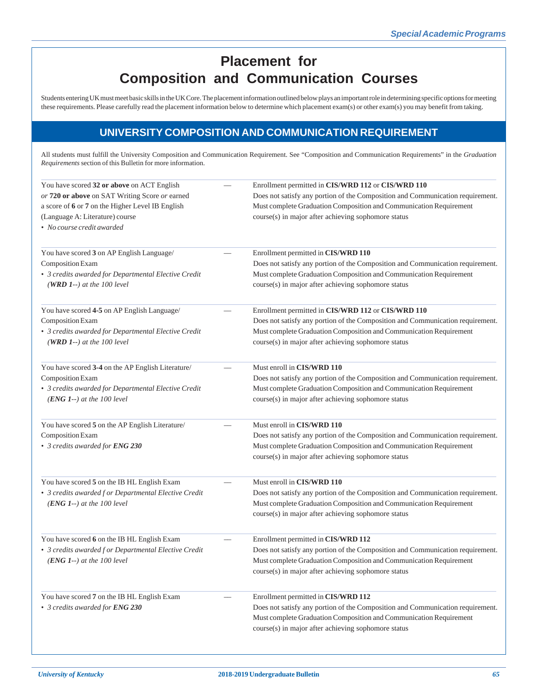# **Placement for Composition and Communication Courses**

Students entering UK must meet basic skills in the UK Core. The placement information outlined below plays an important role in determining specific options for meeting these requirements. Please carefully read the placement information below to determine which placement exam(s) or other exam(s) you may benefit from taking.

## **UNIVERSITY COMPOSITION AND COMMUNICATION REQUIREMENT**

All students must fulfill the University Composition and Communication Requirement. See "Composition and Communication Requirements" in the *Graduation Requirements* section of this Bulletin for more information.

| You have scored 32 or above on ACT English            | Enrollment permitted in CIS/WRD 112 or CIS/WRD 110                             |
|-------------------------------------------------------|--------------------------------------------------------------------------------|
| or 720 or above on SAT Writing Score or earned        | Does not satisfy any portion of the Composition and Communication requirement. |
| a score of 6 or 7 on the Higher Level IB English      | Must complete Graduation Composition and Communication Requirement             |
| (Language A: Literature) course                       | course(s) in major after achieving sophomore status                            |
| • No course credit awarded                            |                                                                                |
| You have scored 3 on AP English Language/             | Enrollment permitted in CIS/WRD 110                                            |
| Composition Exam                                      | Does not satisfy any portion of the Composition and Communication requirement. |
| • 3 credits awarded for Departmental Elective Credit  | Must complete Graduation Composition and Communication Requirement             |
| (WRD 1--) at the 100 level                            | course(s) in major after achieving sophomore status                            |
| You have scored 4-5 on AP English Language/           | Enrollment permitted in CIS/WRD 112 or CIS/WRD 110                             |
| Composition Exam                                      | Does not satisfy any portion of the Composition and Communication requirement. |
| • 3 credits awarded for Departmental Elective Credit  | Must complete Graduation Composition and Communication Requirement             |
| (WRD 1--) at the 100 level                            | course(s) in major after achieving sophomore status                            |
| You have scored 3-4 on the AP English Literature/     | Must enroll in CIS/WRD 110                                                     |
| Composition Exam                                      | Does not satisfy any portion of the Composition and Communication requirement. |
| • 3 credits awarded for Departmental Elective Credit  | Must complete Graduation Composition and Communication Requirement             |
| $(ENG 1-)$ at the 100 level                           | course(s) in major after achieving sophomore status                            |
| You have scored 5 on the AP English Literature/       | Must enroll in CIS/WRD 110                                                     |
| Composition Exam                                      | Does not satisfy any portion of the Composition and Communication requirement. |
| • 3 credits awarded for ENG 230                       | Must complete Graduation Composition and Communication Requirement             |
|                                                       | course(s) in major after achieving sophomore status                            |
| You have scored 5 on the IB HL English Exam           | Must enroll in CIS/WRD 110                                                     |
| • 3 credits awarded f or Departmental Elective Credit | Does not satisfy any portion of the Composition and Communication requirement. |
| $(ENG 1-)$ at the 100 level                           | Must complete Graduation Composition and Communication Requirement             |
|                                                       | course(s) in major after achieving sophomore status                            |
| You have scored 6 on the IB HL English Exam           | Enrollment permitted in CIS/WRD 112                                            |
| • 3 credits awarded f or Departmental Elective Credit | Does not satisfy any portion of the Composition and Communication requirement. |
| $(ENG 1-)$ at the 100 level                           | Must complete Graduation Composition and Communication Requirement             |
|                                                       | course(s) in major after achieving sophomore status                            |
| You have scored 7 on the IB HL English Exam           | Enrollment permitted in CIS/WRD 112                                            |
| • 3 credits awarded for ENG 230                       | Does not satisfy any portion of the Composition and Communication requirement. |
|                                                       | Must complete Graduation Composition and Communication Requirement             |
|                                                       | course(s) in major after achieving sophomore status                            |
|                                                       |                                                                                |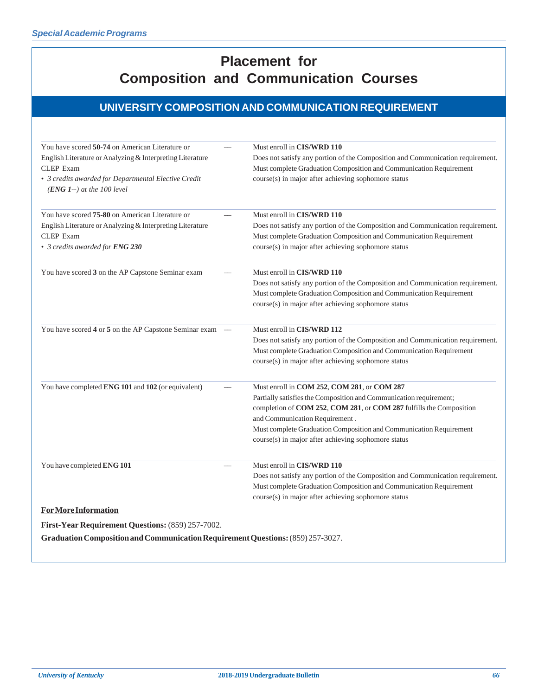# **Placement for Composition and Communication Courses**

# **UNIVERSITY COMPOSITION AND COMMUNICATION REQUIREMENT**

| You have scored 50-74 on American Literature or                                     | Must enroll in CIS/WRD 110                                                     |
|-------------------------------------------------------------------------------------|--------------------------------------------------------------------------------|
| English Literature or Analyzing & Interpreting Literature                           | Does not satisfy any portion of the Composition and Communication requirement. |
| <b>CLEP</b> Exam                                                                    | Must complete Graduation Composition and Communication Requirement             |
| • 3 credits awarded for Departmental Elective Credit<br>$(ENG 1-)$ at the 100 level | course(s) in major after achieving sophomore status                            |
| You have scored <b>75-80</b> on American Literature or                              | Must enroll in CIS/WRD 110                                                     |
| English Literature or Analyzing & Interpreting Literature                           | Does not satisfy any portion of the Composition and Communication requirement. |
| <b>CLEP</b> Exam                                                                    | Must complete Graduation Composition and Communication Requirement             |
| • 3 credits awarded for ENG 230                                                     | course(s) in major after achieving sophomore status                            |
| You have scored 3 on the AP Capstone Seminar exam                                   | Must enroll in CIS/WRD 110                                                     |
|                                                                                     | Does not satisfy any portion of the Composition and Communication requirement. |
|                                                                                     | Must complete Graduation Composition and Communication Requirement             |
|                                                                                     | course(s) in major after achieving sophomore status                            |
| You have scored 4 or 5 on the AP Capstone Seminar exam —                            | Must enroll in CIS/WRD 112                                                     |
|                                                                                     | Does not satisfy any portion of the Composition and Communication requirement. |
|                                                                                     | Must complete Graduation Composition and Communication Requirement             |
|                                                                                     | course(s) in major after achieving sophomore status                            |
| You have completed ENG 101 and 102 (or equivalent)                                  | Must enroll in COM 252, COM 281, or COM 287                                    |
|                                                                                     | Partially satisfies the Composition and Communication requirement;             |
|                                                                                     | completion of COM 252, COM 281, or COM 287 fulfills the Composition            |
|                                                                                     | and Communication Requirement.                                                 |
|                                                                                     | Must complete Graduation Composition and Communication Requirement             |
|                                                                                     | course(s) in major after achieving sophomore status                            |
| You have completed ENG 101                                                          | Must enroll in CIS/WRD 110                                                     |
|                                                                                     | Does not satisfy any portion of the Composition and Communication requirement. |
|                                                                                     | Must complete Graduation Composition and Communication Requirement             |
|                                                                                     | course(s) in major after achieving sophomore status                            |
| <b>For More Information</b>                                                         |                                                                                |
| First-Year Requirement Questions: (859) 257-7002.                                   |                                                                                |
| Graduation Composition and Communication Requirement Questions: (859) 257-3027.     |                                                                                |
|                                                                                     |                                                                                |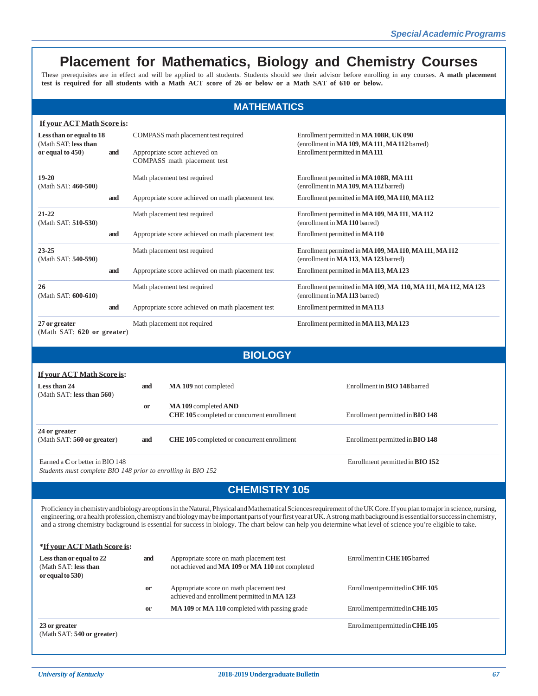# **Placement for Mathematics, Biology and Chemistry Courses**

These prerequisites are in effect and will be applied to all students. Students should see their advisor before enrolling in any courses. **A math placement test is required for all students with a Math ACT score of 26 or below or a Math SAT of 610 or below.**

### **MATHEMATICS**

|                                             | If your ACT Math Score is: |                              |                                                                                               |                                                                                                 |  |  |  |
|---------------------------------------------|----------------------------|------------------------------|-----------------------------------------------------------------------------------------------|-------------------------------------------------------------------------------------------------|--|--|--|
| Less than or equal to 18                    |                            |                              | COMPASS math placement test required                                                          | Enrollment permitted in MA 108R, UK 090                                                         |  |  |  |
| (Math SAT: less than<br>or equal to 450)    | and                        |                              | Appropriate score achieved on<br>COMPASS math placement test                                  | (enrollment in MA 109, MA 111, MA 112 barred)<br>Enrollment permitted in MA111                  |  |  |  |
| $19-20$<br>(Math SAT: 460-500)              |                            |                              | Math placement test required                                                                  | Enrollment permitted in MA 108R, MA 111<br>(enrollment in MA 109, MA 112 barred)                |  |  |  |
|                                             | and                        |                              | Appropriate score achieved on math placement test                                             | Enrollment permitted in MA 109, MA 110, MA 112                                                  |  |  |  |
| $21 - 22$<br>(Math SAT: 510-530)            |                            | Math placement test required |                                                                                               | Enrollment permitted in MA 109, MA 111, MA 112<br>(enrollment in MA 110 barred)                 |  |  |  |
|                                             | and                        |                              | Appropriate score achieved on math placement test                                             | Enrollment permitted in MA 110                                                                  |  |  |  |
| $23 - 25$<br>(Math SAT: 540-590)            |                            | Math placement test required | Enrollment permitted in MA 109, MA 110, MA 111, MA 112<br>(enrollment in MA113, MA123 barred) |                                                                                                 |  |  |  |
|                                             | and                        |                              | Appropriate score achieved on math placement test                                             | Enrollment permitted in MA113, MA123                                                            |  |  |  |
| 26<br>(Math SAT: 600-610)                   |                            |                              | Math placement test required                                                                  | Enrollment permitted in MA 109, MA 110, MA 111, MA 112, MA 123<br>(enrollment in MA 113 barred) |  |  |  |
|                                             | and                        |                              | Appropriate score achieved on math placement test                                             | Enrollment permitted in MA 113                                                                  |  |  |  |
| 27 or greater<br>(Math SAT: 620 or greater) |                            |                              | Math placement not required                                                                   | Enrollment permitted in MA113, MA123                                                            |  |  |  |
| <b>BIOLOGY</b>                              |                            |                              |                                                                                               |                                                                                                 |  |  |  |
| If your ACT Math Score is:                  |                            |                              |                                                                                               |                                                                                                 |  |  |  |
| Less than 24<br>(Math SAT: less than 560)   |                            | and                          | MA 109 not completed                                                                          | Enrollment in <b>BIO 148</b> barred                                                             |  |  |  |
|                                             |                            | <b>or</b>                    | MA109 completed AND                                                                           |                                                                                                 |  |  |  |

**CHE 105** completed or concurrent enrollment Enrollment permitted in **BIO 148 24 or greater** (Math SAT: **560 or greater**) **and CHE 105** completed or concurrent enrollment Enrollment permitted in **BIO 148** Earned a **C** or better in BIO 148 Enrollment permitted in **BIO 152**

*Students must complete BIO 148 prior to enrolling in BIO 152*

# **CHEMISTRY 105**

Proficiency in chemistry and biology are options in the Natural, Physical and Mathematical Sciences requirement of the UK Core. If you plan to major in science, nursing, engineering, or a health profession, chemistry and biology may be important parts of your first year at UK. A strong math background is essential for success in chemistry, and a strong chemistry background is essential for success in biology. The chart below can help you determine what level of science you're eligible to take.

| *If your ACT Math Score is:                                             |     |                                                                                             |                                 |
|-------------------------------------------------------------------------|-----|---------------------------------------------------------------------------------------------|---------------------------------|
| Less than or equal to 22<br>(Math SAT: less than<br>or equal to $530$ ) | and | Appropriate score on math placement test<br>not achieved and MA 109 or MA 110 not completed | Enrollment in CHE 105 barred    |
|                                                                         | or  | Appropriate score on math placement test<br>achieved and enrollment permitted in MA 123     | Enrollment permitted in CHE 105 |
|                                                                         | or  | MA 109 or MA 110 completed with passing grade                                               | Enrollment permitted in CHE 105 |
| 23 or greater<br>(Math SAT: 540 or greater)                             |     |                                                                                             | Enrollment permitted in CHE 105 |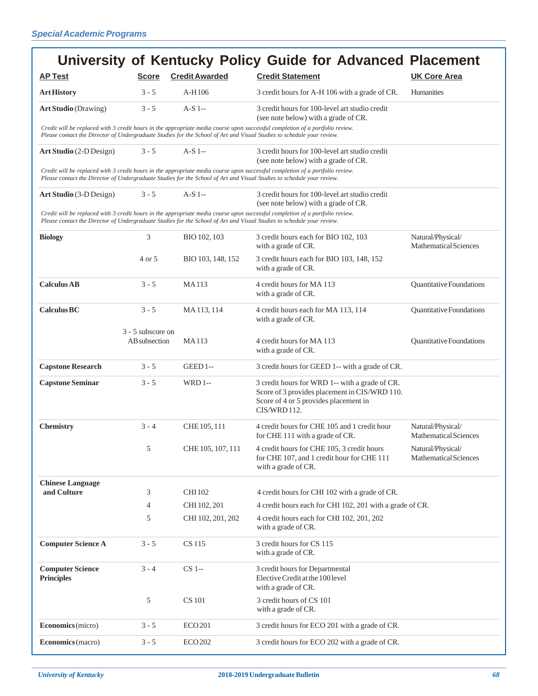|                                              |                                    |                                | University of Kentucky Policy Guide for Advanced Placement                                                                                                                                                                                              |                                                   |
|----------------------------------------------|------------------------------------|--------------------------------|---------------------------------------------------------------------------------------------------------------------------------------------------------------------------------------------------------------------------------------------------------|---------------------------------------------------|
| <b>AP Test</b>                               | <b>Score</b>                       | <b>Credit Awarded</b>          | <b>Credit Statement</b>                                                                                                                                                                                                                                 | <b>UK Core Area</b>                               |
| <b>Art History</b>                           | $3 - 5$                            | $A-H106$                       | 3 credit hours for A-H 106 with a grade of CR.                                                                                                                                                                                                          | Humanities                                        |
| <b>Art Studio</b> (Drawing)                  | $3 - 5$                            | $A-S1$ --                      | 3 credit hours for 100-level art studio credit<br>(see note below) with a grade of CR.                                                                                                                                                                  |                                                   |
|                                              |                                    |                                | Credit will be replaced with 3 credit hours in the appropriate media course upon successful completion of a portfolio review.<br>Please contact the Director of Undergraduate Studies for the School of Art and Visual Studies to schedule your review. |                                                   |
| Art Studio (2-D Design)                      | $3 - 5$                            | $A-S$ 1--                      | 3 credit hours for 100-level art studio credit<br>(see note below) with a grade of CR.                                                                                                                                                                  |                                                   |
|                                              |                                    |                                | Credit will be replaced with 3 credit hours in the appropriate media course upon successful completion of a portfolio review.<br>Please contact the Director of Undergraduate Studies for the School of Art and Visual Studies to schedule your review. |                                                   |
| Art Studio (3-D Design)                      | $3 - 5$                            | $A-S$ 1--                      | 3 credit hours for 100-level art studio credit<br>(see note below) with a grade of CR.                                                                                                                                                                  |                                                   |
|                                              |                                    |                                | Credit will be replaced with 3 credit hours in the appropriate media course upon successful completion of a portfolio review.<br>Please contact the Director of Undergraduate Studies for the School of Art and Visual Studies to schedule your review. |                                                   |
| <b>Biology</b>                               | 3                                  | BIO 102, 103                   | 3 credit hours each for BIO 102, 103<br>with a grade of CR.                                                                                                                                                                                             | Natural/Physical/<br><b>Mathematical Sciences</b> |
|                                              | 4 or 5                             | BIO 103, 148, 152              | 3 credit hours each for BIO 103, 148, 152<br>with a grade of CR.                                                                                                                                                                                        |                                                   |
| <b>Calculus AB</b>                           | $3 - 5$                            | <b>MA113</b>                   | 4 credit hours for MA 113<br>with a grade of CR.                                                                                                                                                                                                        | Quantitative Foundations                          |
| <b>Calculus BC</b>                           | $3 - 5$                            | MA113,114                      | 4 credit hours each for MA 113, 114<br>with a grade of CR.                                                                                                                                                                                              | Quantitative Foundations                          |
|                                              | 3 - 5 subscore on<br>AB subsection | <b>MA113</b>                   | 4 credit hours for MA 113<br>with a grade of CR.                                                                                                                                                                                                        | Quantitative Foundations                          |
| <b>Capstone Research</b>                     | $3 - 5$                            | GEED 1--                       | 3 credit hours for GEED 1-- with a grade of CR.                                                                                                                                                                                                         |                                                   |
| <b>Capstone Seminar</b>                      | $3 - 5$                            | <b>WRD1--</b>                  | 3 credit hours for WRD 1-- with a grade of CR.<br>Score of 3 provides placement in CIS/WRD 110.<br>Score of 4 or 5 provides placement in<br>CIS/WRD 112.                                                                                                |                                                   |
| <b>Chemistry</b>                             | $3 - 4$                            | CHE 105, 111                   | 4 credit hours for CHE 105 and 1 credit hour<br>for CHE 111 with a grade of CR.                                                                                                                                                                         | Natural/Physical/<br><b>Mathematical Sciences</b> |
|                                              | 5                                  | CHE 105, 107, 111              | 4 credit hours for CHE 105, 3 credit hours<br>for CHE 107, and 1 credit hour for CHE 111<br>with a grade of CR.                                                                                                                                         | Natural/Physical/<br><b>Mathematical Sciences</b> |
| <b>Chinese Language</b>                      |                                    |                                |                                                                                                                                                                                                                                                         |                                                   |
| and Culture                                  | 3<br>4                             | <b>CHI 102</b><br>CHI 102, 201 | 4 credit hours for CHI 102 with a grade of CR.<br>4 credit hours each for CHI 102, 201 with a grade of CR.                                                                                                                                              |                                                   |
|                                              | 5                                  | CHI 102, 201, 202              | 4 credit hours each for CHI 102, 201, 202<br>with a grade of CR.                                                                                                                                                                                        |                                                   |
| <b>Computer Science A</b>                    | $3 - 5$                            | CS 115                         | 3 credit hours for CS 115<br>with a grade of CR.                                                                                                                                                                                                        |                                                   |
| <b>Computer Science</b><br><b>Principles</b> | $3 - 4$                            | $CS$ 1--                       | 3 credit hours for Departmental<br>Elective Credit at the 100 level<br>with a grade of CR.                                                                                                                                                              |                                                   |
|                                              | 5                                  | <b>CS</b> 101                  | 3 credit hours of CS 101<br>with a grade of CR.                                                                                                                                                                                                         |                                                   |
| Economics (micro)                            | $3 - 5$                            | <b>ECO201</b>                  | 3 credit hours for ECO 201 with a grade of CR.                                                                                                                                                                                                          |                                                   |
| Economics (macro)                            | $3 - 5$                            | <b>ECO 202</b>                 | 3 credit hours for ECO 202 with a grade of CR.                                                                                                                                                                                                          |                                                   |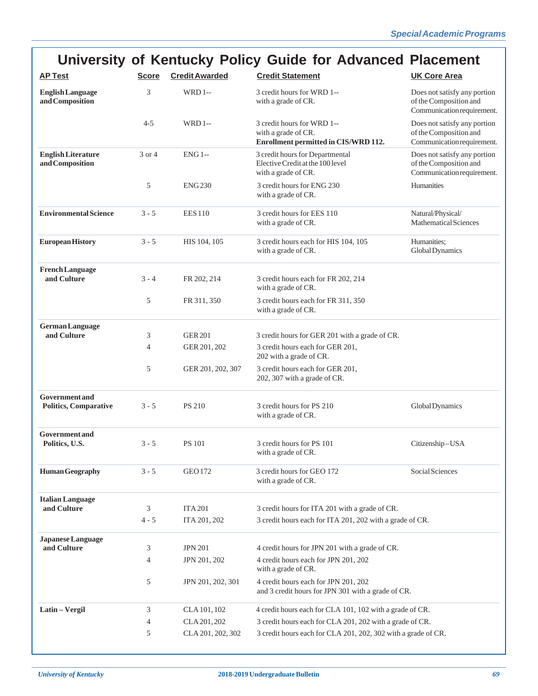# **University of Kentucky Policy Guide for Advanced Placement**

| <b>AP Test</b>                                        | <b>Score</b> | <b>Credit Awarded</b>          | <b>Credit Statement</b>                                                                                                                   | <b>UK Core Area</b>                                                                  |
|-------------------------------------------------------|--------------|--------------------------------|-------------------------------------------------------------------------------------------------------------------------------------------|--------------------------------------------------------------------------------------|
| <b>English Language</b><br>and Composition            | 3            | <b>WRD1--</b>                  | 3 credit hours for WRD 1--<br>Does not satisfy any portion<br>with a grade of CR.<br>of the Composition and<br>Communication requirement. |                                                                                      |
|                                                       | 4-5          | <b>WRD1--</b>                  | 3 credit hours for WRD 1--<br>with a grade of CR.<br>Enrollment permitted in CIS/WRD 112.                                                 | Does not satisfy any portion<br>of the Composition and<br>Communication requirement. |
| <b>English Literature</b><br>and Composition          | 3 or 4       | $ENG1-$                        | 3 credit hours for Departmental<br>Elective Credit at the 100 level<br>with a grade of CR.                                                | Does not satisfy any portion<br>of the Composition and<br>Communication requirement. |
|                                                       | 5            | <b>ENG230</b>                  | 3 credit hours for ENG 230<br>with a grade of CR.                                                                                         | Humanities                                                                           |
| <b>Environmental Science</b>                          | $3 - 5$      | <b>EES110</b>                  | 3 credit hours for EES 110<br>with a grade of CR.                                                                                         | Natural/Physical/<br><b>Mathematical Sciences</b>                                    |
| <b>European History</b>                               | $3 - 5$      | HIS 104, 105                   | 3 credit hours each for HIS 104, 105<br>with a grade of CR.                                                                               | Humanities;<br>Global Dynamics                                                       |
| <b>French Language</b><br>and Culture                 | $3 - 4$      | FR 202, 214                    | 3 credit hours each for FR 202, 214<br>with a grade of CR.                                                                                |                                                                                      |
|                                                       | 5            | FR 311, 350                    | 3 credit hours each for FR 311, 350<br>with a grade of CR.                                                                                |                                                                                      |
| <b>German Language</b>                                |              |                                |                                                                                                                                           |                                                                                      |
| and Culture                                           | 3<br>4       | <b>GER 201</b><br>GER 201, 202 | 3 credit hours for GER 201 with a grade of CR.<br>3 credit hours each for GER 201,                                                        |                                                                                      |
|                                                       |              |                                | 202 with a grade of CR.                                                                                                                   |                                                                                      |
|                                                       | 5            | GER 201, 202, 307              | 3 credit hours each for GER 201,<br>202, 307 with a grade of CR.                                                                          |                                                                                      |
| <b>Government</b> and<br><b>Politics, Comparative</b> | $3 - 5$      | <b>PS 210</b>                  | 3 credit hours for PS 210<br>with a grade of CR.                                                                                          | Global Dynamics                                                                      |
| <b>Government</b> and<br>Politics, U.S.               | $3 - 5$      | <b>PS 101</b>                  | 3 credit hours for PS 101<br>with a grade of CR.                                                                                          | Citizenship-USA                                                                      |
| <b>Human Geography</b>                                | $3 - 5$      | <b>GEO 172</b>                 | Social Sciences<br>3 credit hours for GEO 172<br>with a grade of CR.                                                                      |                                                                                      |
| <b>Italian Language</b>                               |              |                                |                                                                                                                                           |                                                                                      |
| and Culture                                           | 3            | <b>ITA 201</b>                 | 3 credit hours for ITA 201 with a grade of CR.<br>3 credit hours each for ITA 201, 202 with a grade of CR.                                |                                                                                      |
|                                                       | $4 - 5$      | ITA 201, 202                   |                                                                                                                                           |                                                                                      |
| <b>Japanese Language</b><br>and Culture               |              |                                |                                                                                                                                           |                                                                                      |
|                                                       | 3            | <b>JPN 201</b>                 | 4 credit hours for JPN 201 with a grade of CR.<br>4 credit hours each for JPN 201, 202                                                    |                                                                                      |
|                                                       | 4            | JPN 201, 202                   | with a grade of CR.                                                                                                                       |                                                                                      |
|                                                       | 5            | JPN 201, 202, 301              | 4 credit hours each for JPN 201, 202<br>and 3 credit hours for JPN 301 with a grade of CR.                                                |                                                                                      |
| Latin - Vergil                                        | 3            | CLA 101, 102                   | 4 credit hours each for CLA 101, 102 with a grade of CR.                                                                                  |                                                                                      |
|                                                       | 4            | CLA 201, 202                   | 3 credit hours each for CLA 201, 202 with a grade of CR.                                                                                  |                                                                                      |
|                                                       | 5            | CLA 201, 202, 302              | 3 credit hours each for CLA 201, 202, 302 with a grade of CR.                                                                             |                                                                                      |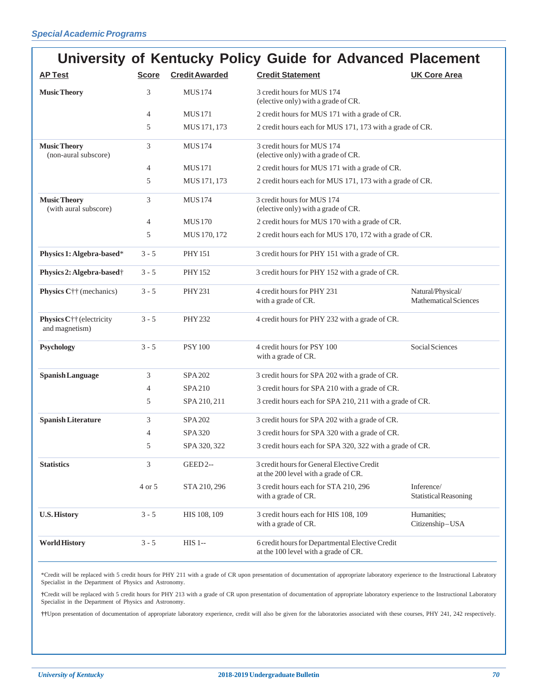|                                              |                |                       | University of Kentucky Policy Guide for Advanced Placement                                             |                                            |
|----------------------------------------------|----------------|-----------------------|--------------------------------------------------------------------------------------------------------|--------------------------------------------|
| <b>AP Test</b>                               | <b>Score</b>   | <b>Credit Awarded</b> | <b>Credit Statement</b>                                                                                | <b>UK Core Area</b>                        |
| <b>Music Theory</b>                          | 3              | <b>MUS174</b>         | 3 credit hours for MUS 174<br>(elective only) with a grade of CR.                                      |                                            |
|                                              | $\overline{4}$ | <b>MUS171</b>         | 2 credit hours for MUS 171 with a grade of CR.                                                         |                                            |
|                                              | 5              | MUS 171, 173          | 2 credit hours each for MUS 171, 173 with a grade of CR.                                               |                                            |
| <b>Music Theory</b><br>(non-aural subscore)  | 3              | <b>MUS174</b>         | 3 credit hours for MUS 174<br>(elective only) with a grade of CR.                                      |                                            |
|                                              | $\overline{4}$ | <b>MUS171</b>         | 2 credit hours for MUS 171 with a grade of CR.                                                         |                                            |
|                                              | 5              | MUS 171, 173          | 2 credit hours each for MUS 171, 173 with a grade of CR.                                               |                                            |
| <b>Music Theory</b><br>(with aural subscore) | 3              | <b>MUS174</b>         | 3 credit hours for MUS 174<br>(elective only) with a grade of CR.                                      |                                            |
|                                              | $\overline{4}$ | <b>MUS170</b>         | 2 credit hours for MUS 170 with a grade of CR.                                                         |                                            |
|                                              | 5              | MUS 170, 172          | 2 credit hours each for MUS 170, 172 with a grade of CR.                                               |                                            |
| Physics 1: Algebra-based*                    | $3 - 5$        | <b>PHY 151</b>        | 3 credit hours for PHY 151 with a grade of CR.                                                         |                                            |
| Physics 2: Algebra-based <sup>†</sup>        | $3 - 5$        | <b>PHY 152</b>        | 3 credit hours for PHY 152 with a grade of CR.                                                         |                                            |
| Physics C†† (mechanics)                      | $3 - 5$        | <b>PHY 231</b>        | 4 credit hours for PHY 231<br>Natural/Physical/<br>with a grade of CR.<br><b>Mathematical Sciences</b> |                                            |
| Physics C†† (electricity<br>and magnetism)   | $3 - 5$        | <b>PHY 232</b>        | 4 credit hours for PHY 232 with a grade of CR.                                                         |                                            |
| <b>Psychology</b>                            | $3 - 5$        | <b>PSY 100</b>        | 4 credit hours for PSY 100<br>Social Sciences<br>with a grade of CR.                                   |                                            |
| <b>Spanish Language</b>                      | 3              | <b>SPA 202</b>        | 3 credit hours for SPA 202 with a grade of CR.                                                         |                                            |
|                                              | 4              | <b>SPA210</b>         | 3 credit hours for SPA 210 with a grade of CR.                                                         |                                            |
|                                              | 5              | SPA 210, 211          | 3 credit hours each for SPA 210, 211 with a grade of CR.                                               |                                            |
| <b>Spanish Literature</b>                    | 3              | SPA 202               | 3 credit hours for SPA 202 with a grade of CR.                                                         |                                            |
|                                              | 4              | SPA 320               | 3 credit hours for SPA 320 with a grade of CR.                                                         |                                            |
|                                              | 5              | SPA 320, 322          | 3 credit hours each for SPA 320, 322 with a grade of CR.                                               |                                            |
| <b>Statistics</b>                            | 3              | <b>GEED 2--</b>       | 3 credit hours for General Elective Credit<br>at the 200 level with a grade of CR.                     |                                            |
|                                              | 4 or 5         | STA 210, 296          | 3 credit hours each for STA 210, 296<br>with a grade of CR.                                            | Inference/<br><b>Statistical Reasoning</b> |
| <b>U.S. History</b>                          | $3 - 5$        | HIS 108, 109          | 3 credit hours each for HIS 108, 109<br>with a grade of CR.                                            | Humanities;<br>Citizenship-USA             |
| <b>World History</b>                         | $3 - 5$        | <b>HIS 1--</b>        | 6 credit hours for Departmental Elective Credit<br>at the 100 level with a grade of CR.                |                                            |

\*Credit will be replaced with 5 credit hours for PHY 211 with a grade of CR upon presentation of documentation of appropriate laboratory experience to the Instructional Labratory Specialist in the Department of Physics and Astronomy.

**†**Credit will be replaced with 5 credit hours for PHY 213 with a grade of CR upon presentation of documentation of appropriate laboratory experience to the Instructional Laboratory Specialist in the Department of Physics and Astronomy.

**††**Upon presentation of documentation of appropriate laboratory experience, credit will also be given for the laboratories associated with these courses, PHY 241, 242 respectively.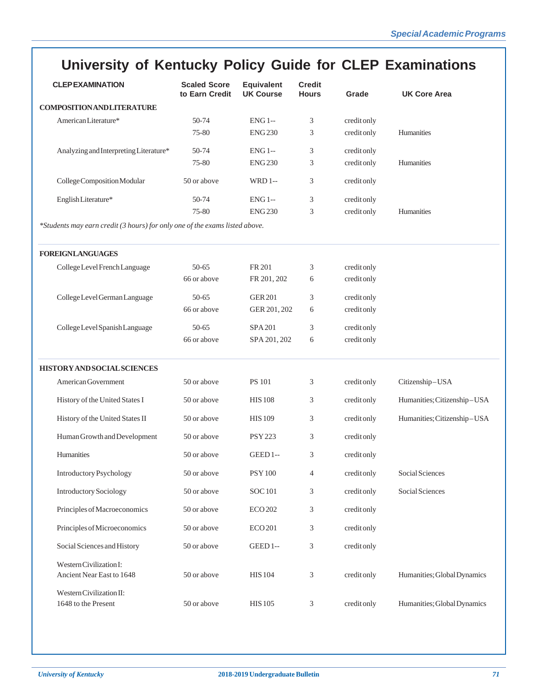# **University of Kentucky Policy Guide for CLEP Examinations**

| <b>CLEPEXAMINATION</b>                                                      | <b>Scaled Score</b><br>to Earn Credit | <b>Equivalent</b><br><b>UK Course</b> | <b>Credit</b><br><b>Hours</b> | Grade       | <b>UK Core Area</b>         |  |  |
|-----------------------------------------------------------------------------|---------------------------------------|---------------------------------------|-------------------------------|-------------|-----------------------------|--|--|
| <b>COMPOSITION AND LITERATURE</b>                                           |                                       |                                       |                               |             |                             |  |  |
| American Literature*                                                        | 50-74                                 | <b>ENG 1--</b>                        | 3                             | credit only |                             |  |  |
|                                                                             | 75-80                                 | <b>ENG230</b>                         | 3                             | credit only | Humanities                  |  |  |
| Analyzing and Interpreting Literature*                                      | 50-74                                 | <b>ENG 1--</b>                        | 3                             | credit only |                             |  |  |
|                                                                             | 75-80                                 | <b>ENG230</b>                         | 3                             | credit only | Humanities                  |  |  |
| College Composition Modular                                                 | 50 or above                           | <b>WRD1--</b>                         | 3                             | creditonly  |                             |  |  |
| English Literature*                                                         | 50-74                                 | <b>ENG 1--</b>                        | 3                             | credit only |                             |  |  |
|                                                                             | 75-80                                 | <b>ENG230</b>                         | 3                             | credit only | Humanities                  |  |  |
| *Students may earn credit (3 hours) for only one of the exams listed above. |                                       |                                       |                               |             |                             |  |  |
| <b>FOREIGNLANGUAGES</b>                                                     |                                       |                                       |                               |             |                             |  |  |
| College Level French Language                                               | 50-65                                 | FR 201                                | 3                             | credit only |                             |  |  |
|                                                                             | 66 or above                           | FR 201, 202                           | 6                             | credit only |                             |  |  |
| College Level German Language                                               | 50-65                                 | <b>GER 201</b>                        | 3                             | credit only |                             |  |  |
|                                                                             | 66 or above                           | GER 201, 202                          | 6                             | credit only |                             |  |  |
| College Level Spanish Language                                              | 50-65                                 | SPA 201                               | 3                             | credit only |                             |  |  |
|                                                                             | 66 or above                           | SPA 201, 202                          | 6                             | credit only |                             |  |  |
| <b>HISTORY AND SOCIAL SCIENCES</b>                                          |                                       |                                       |                               |             |                             |  |  |
| American Government                                                         | 50 or above                           | <b>PS 101</b>                         | 3                             | credit only | Citizenship-USA             |  |  |
| History of the United States I                                              | 50 or above                           | <b>HIS108</b>                         | 3                             | creditonly  | Humanities; Citizenship-USA |  |  |
| History of the United States II                                             | 50 or above                           | <b>HIS109</b>                         | 3                             | creditonly  | Humanities; Citizenship-USA |  |  |
| Human Growth and Development                                                | 50 or above                           | <b>PSY 223</b>                        | 3                             | credit only |                             |  |  |
| Humanities                                                                  | 50 or above                           | GEED 1--                              | 3                             | credit only |                             |  |  |
| Introductory Psychology                                                     | 50 or above                           | <b>PSY 100</b>                        | 4                             | credit only | Social Sciences             |  |  |
| <b>Introductory Sociology</b>                                               | 50 or above                           | <b>SOC101</b>                         | 3                             | creditonly  | Social Sciences             |  |  |
| Principles of Macroeconomics                                                | 50 or above                           | <b>ECO 202</b>                        | 3                             | creditonly  |                             |  |  |
| Principles of Microeconomics                                                | 50 or above                           | <b>ECO 201</b>                        | 3                             | credit only |                             |  |  |
| Social Sciences and History                                                 | 50 or above                           | <b>GEED1--</b>                        | 3                             | creditonly  |                             |  |  |
| Western Civilization I:<br>Ancient Near East to 1648                        | 50 or above                           | <b>HIS104</b>                         | 3                             | creditonly  | Humanities; Global Dynamics |  |  |
| Western Civilization II:<br>1648 to the Present                             | 50 or above                           | <b>HIS105</b>                         | 3                             | creditonly  | Humanities; Global Dynamics |  |  |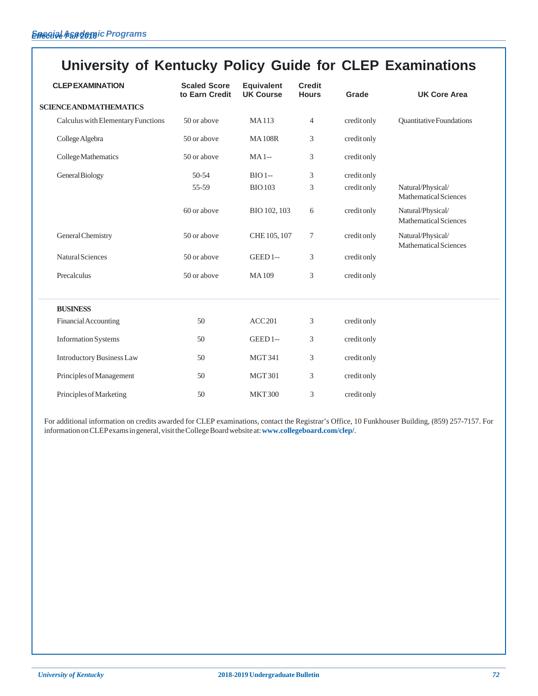# **University of Kentucky Policy Guide for CLEP Examinations**

| <b>CLEPEXAMINATION</b>             | <b>Scaled Score</b><br>to Earn Credit | <b>Equivalent</b><br><b>UK Course</b> | <b>Credit</b><br><b>Hours</b> | Grade       | <b>UK Core Area</b>                               |
|------------------------------------|---------------------------------------|---------------------------------------|-------------------------------|-------------|---------------------------------------------------|
| <b>SCIENCE AND MATHEMATICS</b>     |                                       |                                       |                               |             |                                                   |
| Calculus with Elementary Functions | 50 or above                           | <b>MA113</b>                          | $\overline{4}$                | creditonly  | <b>Ouantitative Foundations</b>                   |
| College Algebra                    | 50 or above                           | <b>MA108R</b>                         | 3                             | credit only |                                                   |
| College Mathematics                | 50 or above                           | $MA1-$                                | 3                             | credit only |                                                   |
| General Biology                    | 50-54                                 | $BIO$ 1--                             | 3                             | credit only |                                                   |
|                                    | 55-59                                 | <b>BIO103</b>                         | 3                             | credit only | Natural/Physical/<br><b>Mathematical Sciences</b> |
|                                    | 60 or above                           | BIO 102, 103                          | 6                             | credit only | Natural/Physical/<br>Mathematical Sciences        |
| General Chemistry                  | 50 or above                           | CHE 105, 107                          | $\tau$                        | creditonly  | Natural/Physical/<br><b>Mathematical Sciences</b> |
| <b>Natural Sciences</b>            | 50 or above                           | <b>GEED1--</b>                        | 3                             | creditonly  |                                                   |
| Precalculus                        | 50 or above                           | <b>MA109</b>                          | 3                             | credit only |                                                   |
| <b>BUSINESS</b>                    |                                       |                                       |                               |             |                                                   |
| Financial Accounting               | 50                                    | ACC201                                | 3                             | credit only |                                                   |
| <b>Information Systems</b>         | 50                                    | <b>GEED 1--</b>                       | 3                             | credit only |                                                   |
| <b>Introductory Business Law</b>   | 50                                    | <b>MGT341</b>                         | 3                             | credit only |                                                   |
| Principles of Management           | 50                                    | <b>MGT301</b>                         | 3                             | credit only |                                                   |
| Principles of Marketing            | 50                                    | <b>MKT300</b>                         | 3                             | creditonly  |                                                   |

For additional information on credits awarded for CLEP examinations, contact the Registrar's Office, 10 Funkhouser Building, (859) 257-7157. For information on CLEP exams in general, visit the College Board website at: **www.collegeboard.com/clep/**.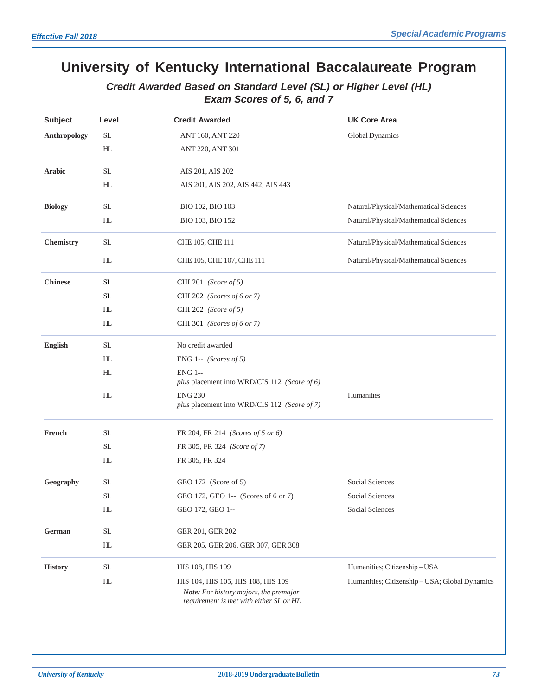# **University of Kentucky International Baccalaureate Program**

# *Credit Awarded Based on Standard Level (SL) or Higher Level (HL) Exam Scores of 5, 6, and 7*

| <b>Subject</b>   | Level                      | <b>Credit Awarded</b>                                                                                                   | <b>UK Core Area</b>                            |
|------------------|----------------------------|-------------------------------------------------------------------------------------------------------------------------|------------------------------------------------|
| Anthropology     | <b>SL</b>                  | ANT 160, ANT 220                                                                                                        | Global Dynamics                                |
|                  | H <sub>L</sub>             | ANT 220, ANT 301                                                                                                        |                                                |
| <b>Arabic</b>    | <b>SL</b>                  | AIS 201, AIS 202                                                                                                        |                                                |
|                  | H <sub>L</sub>             | AIS 201, AIS 202, AIS 442, AIS 443                                                                                      |                                                |
| <b>Biology</b>   | <b>SL</b>                  | BIO 102, BIO 103                                                                                                        | Natural/Physical/Mathematical Sciences         |
|                  | H <sub>L</sub>             | BIO 103, BIO 152                                                                                                        | Natural/Physical/Mathematical Sciences         |
| <b>Chemistry</b> | <b>SL</b>                  | CHE 105, CHE 111                                                                                                        | Natural/Physical/Mathematical Sciences         |
|                  | HL                         | CHE 105, CHE 107, CHE 111                                                                                               | Natural/Physical/Mathematical Sciences         |
| <b>Chinese</b>   | <b>SL</b>                  | CHI 201 (Score of 5)                                                                                                    |                                                |
|                  | <b>SL</b>                  | CHI 202 (Scores of 6 or 7)                                                                                              |                                                |
|                  | HL.                        | CHI 202 (Score of 5)                                                                                                    |                                                |
|                  | H <sub>L</sub>             | CHI 301 (Scores of 6 or 7)                                                                                              |                                                |
| <b>English</b>   | <b>SL</b>                  | No credit awarded                                                                                                       |                                                |
|                  | HL                         | ENG 1-- $(Scores of 5)$                                                                                                 |                                                |
|                  | HL                         | <b>ENG 1--</b><br>plus placement into WRD/CIS 112 (Score of 6)                                                          |                                                |
|                  | H <sub>L</sub>             | <b>ENG 230</b><br>plus placement into WRD/CIS 112 (Score of 7)                                                          | Humanities                                     |
| French           | $\rm SL$                   | FR 204, FR 214 (Scores of 5 or 6)                                                                                       |                                                |
|                  | SL.                        | FR 305, FR 324 (Score of 7)                                                                                             |                                                |
|                  | H <sub>L</sub>             | FR 305, FR 324                                                                                                          |                                                |
| Geography        | <b>SL</b>                  | GEO 172 (Score of 5)                                                                                                    | Social Sciences                                |
|                  | <b>SL</b>                  | GEO 172, GEO 1-- (Scores of 6 or 7)                                                                                     | Social Sciences                                |
|                  | $\mathop{\rm HL}\nolimits$ | GEO 172, GEO 1--                                                                                                        | Social Sciences                                |
| German           | $\operatorname{SL}$        | GER 201, GER 202                                                                                                        |                                                |
|                  | H <sub>L</sub>             | GER 205, GER 206, GER 307, GER 308                                                                                      |                                                |
| <b>History</b>   | $\rm SL$                   | HIS 108, HIS 109                                                                                                        | Humanities; Citizenship-USA                    |
|                  | H <sub>L</sub>             | HIS 104, HIS 105, HIS 108, HIS 109<br>Note: For history majors, the premajor<br>requirement is met with either SL or HL | Humanities; Citizenship - USA; Global Dynamics |